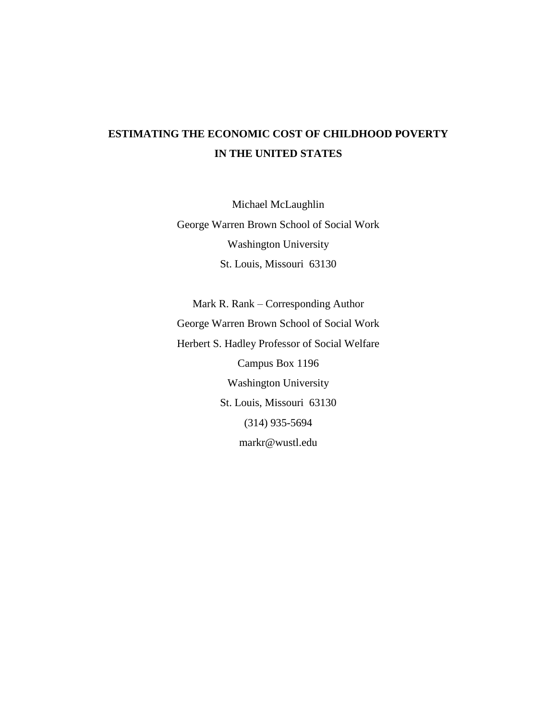# **ESTIMATING THE ECONOMIC COST OF CHILDHOOD POVERTY IN THE UNITED STATES**

Michael McLaughlin George Warren Brown School of Social Work Washington University St. Louis, Missouri 63130

Mark R. Rank – Corresponding Author George Warren Brown School of Social Work Herbert S. Hadley Professor of Social Welfare Campus Box 1196 Washington University St. Louis, Missouri 63130 (314) 935-5694 markr@wustl.edu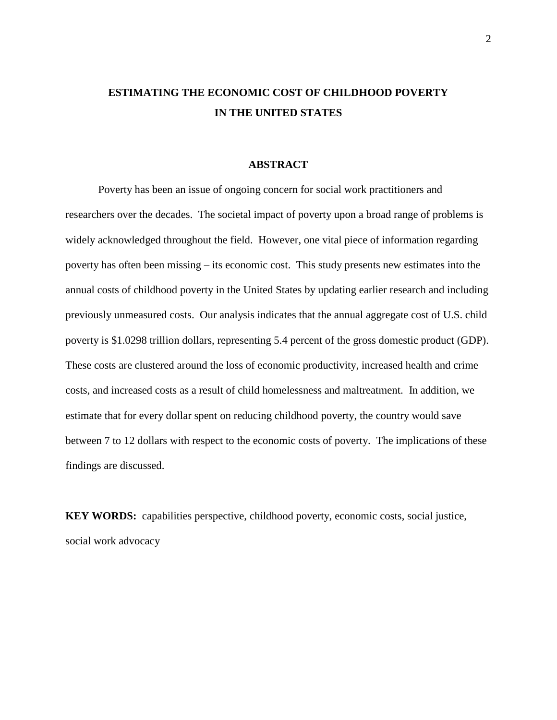# **ESTIMATING THE ECONOMIC COST OF CHILDHOOD POVERTY IN THE UNITED STATES**

## **ABSTRACT**

Poverty has been an issue of ongoing concern for social work practitioners and researchers over the decades. The societal impact of poverty upon a broad range of problems is widely acknowledged throughout the field. However, one vital piece of information regarding poverty has often been missing – its economic cost. This study presents new estimates into the annual costs of childhood poverty in the United States by updating earlier research and including previously unmeasured costs. Our analysis indicates that the annual aggregate cost of U.S. child poverty is \$1.0298 trillion dollars, representing 5.4 percent of the gross domestic product (GDP). These costs are clustered around the loss of economic productivity, increased health and crime costs, and increased costs as a result of child homelessness and maltreatment. In addition, we estimate that for every dollar spent on reducing childhood poverty, the country would save between 7 to 12 dollars with respect to the economic costs of poverty. The implications of these findings are discussed.

**KEY WORDS:** capabilities perspective, childhood poverty, economic costs, social justice, social work advocacy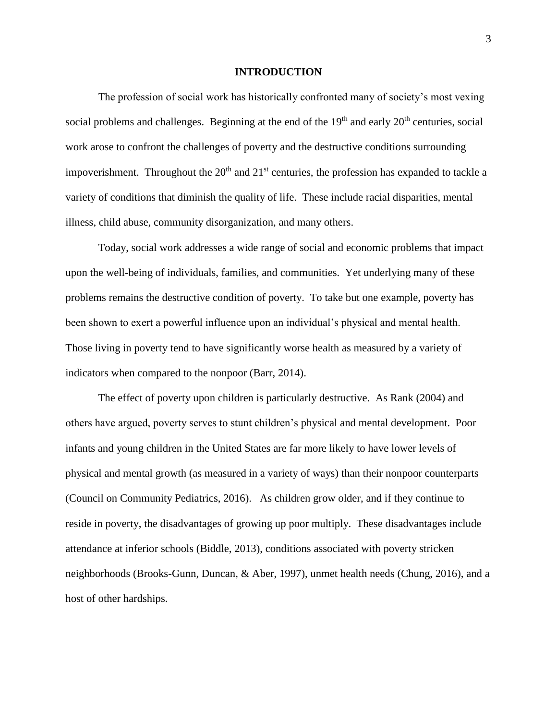#### **INTRODUCTION**

The profession of social work has historically confronted many of society's most vexing social problems and challenges. Beginning at the end of the  $19<sup>th</sup>$  and early  $20<sup>th</sup>$  centuries, social work arose to confront the challenges of poverty and the destructive conditions surrounding impoverishment. Throughout the  $20<sup>th</sup>$  and  $21<sup>st</sup>$  centuries, the profession has expanded to tackle a variety of conditions that diminish the quality of life. These include racial disparities, mental illness, child abuse, community disorganization, and many others.

Today, social work addresses a wide range of social and economic problems that impact upon the well-being of individuals, families, and communities. Yet underlying many of these problems remains the destructive condition of poverty. To take but one example, poverty has been shown to exert a powerful influence upon an individual's physical and mental health. Those living in poverty tend to have significantly worse health as measured by a variety of indicators when compared to the nonpoor (Barr, 2014).

The effect of poverty upon children is particularly destructive. As Rank (2004) and others have argued, poverty serves to stunt children's physical and mental development. Poor infants and young children in the United States are far more likely to have lower levels of physical and mental growth (as measured in a variety of ways) than their nonpoor counterparts (Council on Community Pediatrics, 2016). As children grow older, and if they continue to reside in poverty, the disadvantages of growing up poor multiply. These disadvantages include attendance at inferior schools (Biddle, 2013), conditions associated with poverty stricken neighborhoods (Brooks-Gunn, Duncan, & Aber, 1997), unmet health needs (Chung, 2016), and a host of other hardships.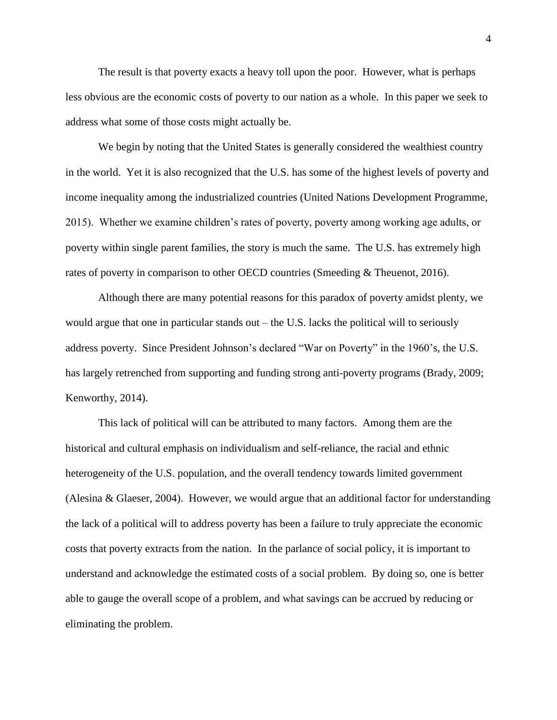The result is that poverty exacts a heavy toll upon the poor. However, what is perhaps less obvious are the economic costs of poverty to our nation as a whole. In this paper we seek to address what some of those costs might actually be.

We begin by noting that the United States is generally considered the wealthiest country in the world. Yet it is also recognized that the U.S. has some of the highest levels of poverty and income inequality among the industrialized countries (United Nations Development Programme, 2015). Whether we examine children's rates of poverty, poverty among working age adults, or poverty within single parent families, the story is much the same. The U.S. has extremely high rates of poverty in comparison to other OECD countries (Smeeding & Theuenot, 2016).

Although there are many potential reasons for this paradox of poverty amidst plenty, we would argue that one in particular stands out – the U.S. lacks the political will to seriously address poverty. Since President Johnson's declared "War on Poverty" in the 1960's, the U.S. has largely retrenched from supporting and funding strong anti-poverty programs (Brady, 2009; Kenworthy, 2014).

This lack of political will can be attributed to many factors. Among them are the historical and cultural emphasis on individualism and self-reliance, the racial and ethnic heterogeneity of the U.S. population, and the overall tendency towards limited government (Alesina & Glaeser, 2004). However, we would argue that an additional factor for understanding the lack of a political will to address poverty has been a failure to truly appreciate the economic costs that poverty extracts from the nation. In the parlance of social policy, it is important to understand and acknowledge the estimated costs of a social problem. By doing so, one is better able to gauge the overall scope of a problem, and what savings can be accrued by reducing or eliminating the problem.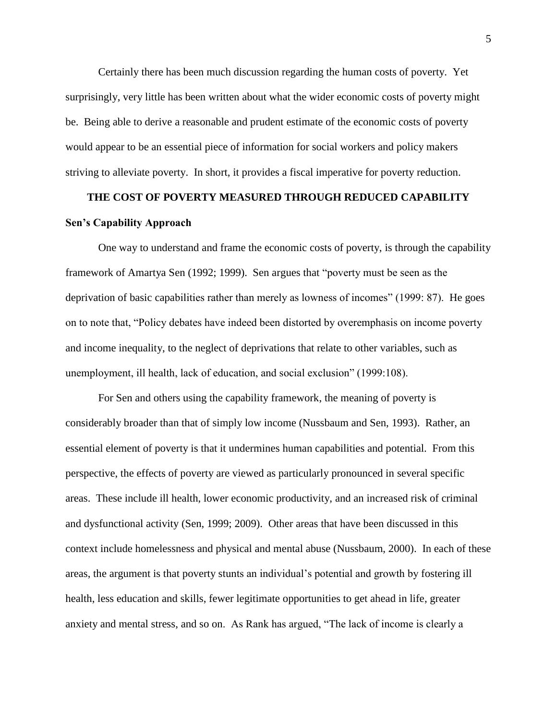Certainly there has been much discussion regarding the human costs of poverty. Yet surprisingly, very little has been written about what the wider economic costs of poverty might be. Being able to derive a reasonable and prudent estimate of the economic costs of poverty would appear to be an essential piece of information for social workers and policy makers striving to alleviate poverty. In short, it provides a fiscal imperative for poverty reduction.

# **THE COST OF POVERTY MEASURED THROUGH REDUCED CAPABILITY Sen's Capability Approach**

One way to understand and frame the economic costs of poverty, is through the capability framework of Amartya Sen (1992; 1999). Sen argues that "poverty must be seen as the deprivation of basic capabilities rather than merely as lowness of incomes" (1999: 87). He goes on to note that, "Policy debates have indeed been distorted by overemphasis on income poverty and income inequality, to the neglect of deprivations that relate to other variables, such as unemployment, ill health, lack of education, and social exclusion" (1999:108).

For Sen and others using the capability framework, the meaning of poverty is considerably broader than that of simply low income (Nussbaum and Sen, 1993). Rather, an essential element of poverty is that it undermines human capabilities and potential. From this perspective, the effects of poverty are viewed as particularly pronounced in several specific areas. These include ill health, lower economic productivity, and an increased risk of criminal and dysfunctional activity (Sen, 1999; 2009). Other areas that have been discussed in this context include homelessness and physical and mental abuse (Nussbaum, 2000). In each of these areas, the argument is that poverty stunts an individual's potential and growth by fostering ill health, less education and skills, fewer legitimate opportunities to get ahead in life, greater anxiety and mental stress, and so on. As Rank has argued, "The lack of income is clearly a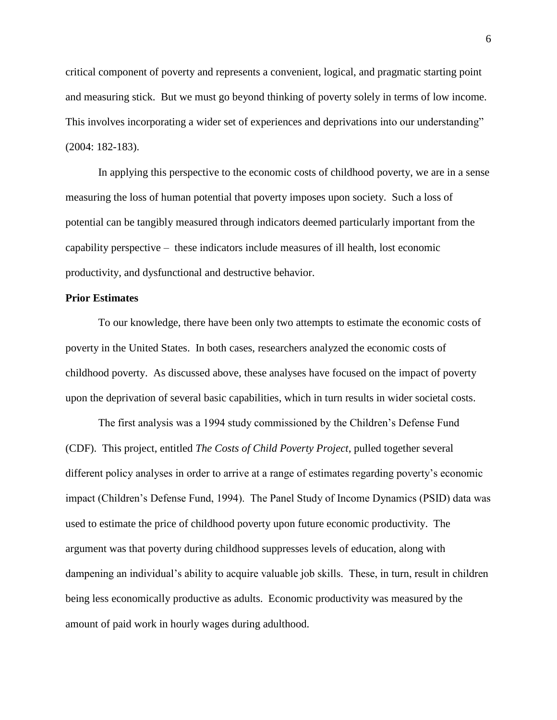critical component of poverty and represents a convenient, logical, and pragmatic starting point and measuring stick. But we must go beyond thinking of poverty solely in terms of low income. This involves incorporating a wider set of experiences and deprivations into our understanding" (2004: 182-183).

In applying this perspective to the economic costs of childhood poverty, we are in a sense measuring the loss of human potential that poverty imposes upon society. Such a loss of potential can be tangibly measured through indicators deemed particularly important from the capability perspective – these indicators include measures of ill health, lost economic productivity, and dysfunctional and destructive behavior.

## **Prior Estimates**

To our knowledge, there have been only two attempts to estimate the economic costs of poverty in the United States. In both cases, researchers analyzed the economic costs of childhood poverty. As discussed above, these analyses have focused on the impact of poverty upon the deprivation of several basic capabilities, which in turn results in wider societal costs.

The first analysis was a 1994 study commissioned by the Children's Defense Fund (CDF). This project, entitled *The Costs of Child Poverty Project*, pulled together several different policy analyses in order to arrive at a range of estimates regarding poverty's economic impact (Children's Defense Fund, 1994). The Panel Study of Income Dynamics (PSID) data was used to estimate the price of childhood poverty upon future economic productivity. The argument was that poverty during childhood suppresses levels of education, along with dampening an individual's ability to acquire valuable job skills. These, in turn, result in children being less economically productive as adults. Economic productivity was measured by the amount of paid work in hourly wages during adulthood.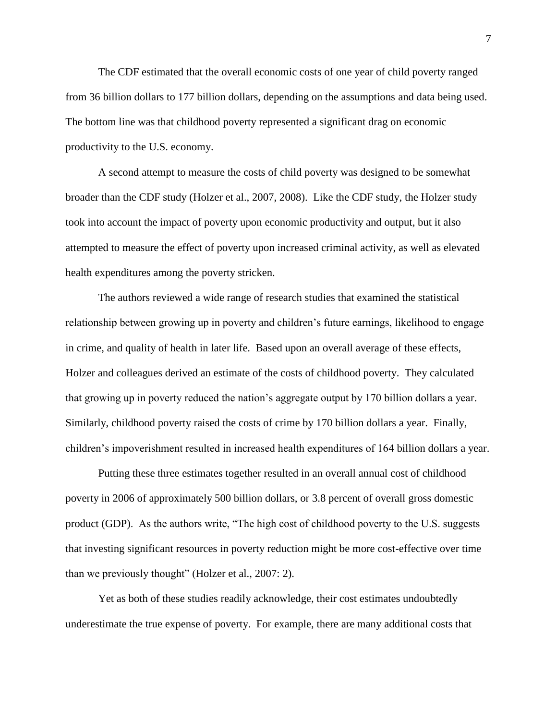The CDF estimated that the overall economic costs of one year of child poverty ranged from 36 billion dollars to 177 billion dollars, depending on the assumptions and data being used. The bottom line was that childhood poverty represented a significant drag on economic productivity to the U.S. economy.

A second attempt to measure the costs of child poverty was designed to be somewhat broader than the CDF study (Holzer et al., 2007, 2008). Like the CDF study, the Holzer study took into account the impact of poverty upon economic productivity and output, but it also attempted to measure the effect of poverty upon increased criminal activity, as well as elevated health expenditures among the poverty stricken.

The authors reviewed a wide range of research studies that examined the statistical relationship between growing up in poverty and children's future earnings, likelihood to engage in crime, and quality of health in later life. Based upon an overall average of these effects, Holzer and colleagues derived an estimate of the costs of childhood poverty. They calculated that growing up in poverty reduced the nation's aggregate output by 170 billion dollars a year. Similarly, childhood poverty raised the costs of crime by 170 billion dollars a year. Finally, children's impoverishment resulted in increased health expenditures of 164 billion dollars a year.

Putting these three estimates together resulted in an overall annual cost of childhood poverty in 2006 of approximately 500 billion dollars, or 3.8 percent of overall gross domestic product (GDP). As the authors write, "The high cost of childhood poverty to the U.S. suggests that investing significant resources in poverty reduction might be more cost-effective over time than we previously thought" (Holzer et al., 2007: 2).

Yet as both of these studies readily acknowledge, their cost estimates undoubtedly underestimate the true expense of poverty. For example, there are many additional costs that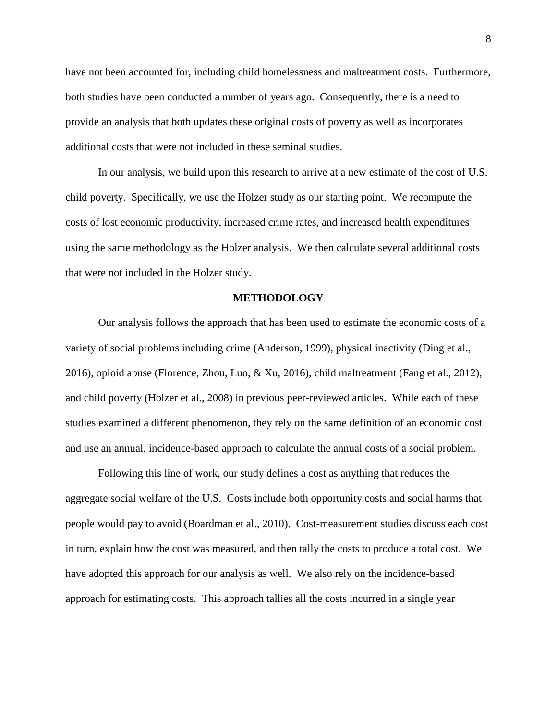have not been accounted for, including child homelessness and maltreatment costs. Furthermore, both studies have been conducted a number of years ago. Consequently, there is a need to provide an analysis that both updates these original costs of poverty as well as incorporates additional costs that were not included in these seminal studies.

In our analysis, we build upon this research to arrive at a new estimate of the cost of U.S. child poverty. Specifically, we use the Holzer study as our starting point. We recompute the costs of lost economic productivity, increased crime rates, and increased health expenditures using the same methodology as the Holzer analysis. We then calculate several additional costs that were not included in the Holzer study.

#### **METHODOLOGY**

Our analysis follows the approach that has been used to estimate the economic costs of a variety of social problems including crime (Anderson, 1999), physical inactivity (Ding et al., 2016), opioid abuse (Florence, Zhou, Luo, & Xu, 2016), child maltreatment (Fang et al., 2012), and child poverty (Holzer et al., 2008) in previous peer-reviewed articles. While each of these studies examined a different phenomenon, they rely on the same definition of an economic cost and use an annual, incidence-based approach to calculate the annual costs of a social problem.

Following this line of work, our study defines a cost as anything that reduces the aggregate social welfare of the U.S. Costs include both opportunity costs and social harms that people would pay to avoid (Boardman et al., 2010). Cost-measurement studies discuss each cost in turn, explain how the cost was measured, and then tally the costs to produce a total cost. We have adopted this approach for our analysis as well. We also rely on the incidence-based approach for estimating costs. This approach tallies all the costs incurred in a single year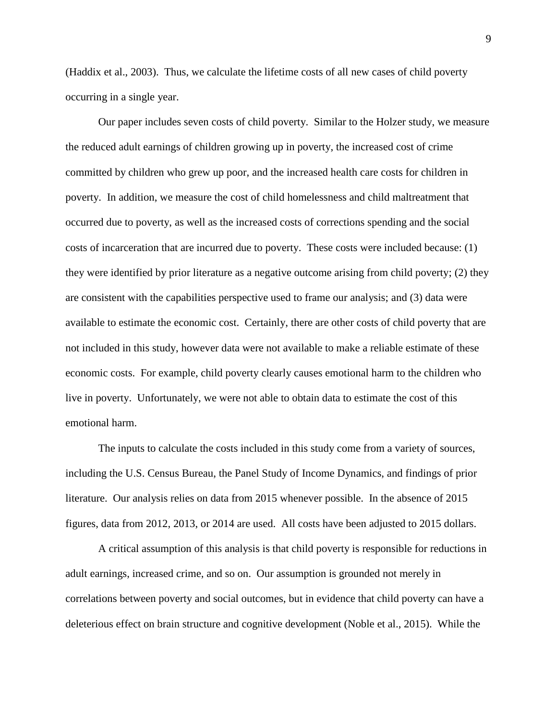(Haddix et al., 2003). Thus, we calculate the lifetime costs of all new cases of child poverty occurring in a single year.

Our paper includes seven costs of child poverty. Similar to the Holzer study, we measure the reduced adult earnings of children growing up in poverty, the increased cost of crime committed by children who grew up poor, and the increased health care costs for children in poverty. In addition, we measure the cost of child homelessness and child maltreatment that occurred due to poverty, as well as the increased costs of corrections spending and the social costs of incarceration that are incurred due to poverty. These costs were included because: (1) they were identified by prior literature as a negative outcome arising from child poverty; (2) they are consistent with the capabilities perspective used to frame our analysis; and (3) data were available to estimate the economic cost. Certainly, there are other costs of child poverty that are not included in this study, however data were not available to make a reliable estimate of these economic costs. For example, child poverty clearly causes emotional harm to the children who live in poverty. Unfortunately, we were not able to obtain data to estimate the cost of this emotional harm.

The inputs to calculate the costs included in this study come from a variety of sources, including the U.S. Census Bureau, the Panel Study of Income Dynamics, and findings of prior literature. Our analysis relies on data from 2015 whenever possible. In the absence of 2015 figures, data from 2012, 2013, or 2014 are used. All costs have been adjusted to 2015 dollars.

A critical assumption of this analysis is that child poverty is responsible for reductions in adult earnings, increased crime, and so on. Our assumption is grounded not merely in correlations between poverty and social outcomes, but in evidence that child poverty can have a deleterious effect on brain structure and cognitive development (Noble et al., 2015). While the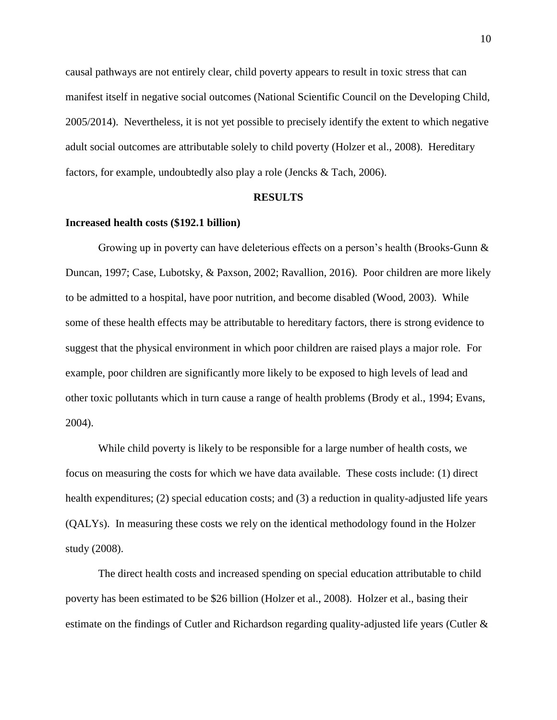causal pathways are not entirely clear, child poverty appears to result in toxic stress that can manifest itself in negative social outcomes (National Scientific Council on the Developing Child, 2005/2014). Nevertheless, it is not yet possible to precisely identify the extent to which negative adult social outcomes are attributable solely to child poverty (Holzer et al., 2008). Hereditary factors, for example, undoubtedly also play a role (Jencks & Tach, 2006).

#### **RESULTS**

## **Increased health costs (\$192.1 billion)**

Growing up in poverty can have deleterious effects on a person's health (Brooks-Gunn & Duncan, 1997; Case, Lubotsky, & Paxson, 2002; Ravallion, 2016). Poor children are more likely to be admitted to a hospital, have poor nutrition, and become disabled (Wood, 2003). While some of these health effects may be attributable to hereditary factors, there is strong evidence to suggest that the physical environment in which poor children are raised plays a major role. For example, poor children are significantly more likely to be exposed to high levels of lead and other toxic pollutants which in turn cause a range of health problems (Brody et al., 1994; Evans, 2004).

While child poverty is likely to be responsible for a large number of health costs, we focus on measuring the costs for which we have data available. These costs include: (1) direct health expenditures; (2) special education costs; and (3) a reduction in quality-adjusted life years (QALYs). In measuring these costs we rely on the identical methodology found in the Holzer study (2008).

The direct health costs and increased spending on special education attributable to child poverty has been estimated to be \$26 billion (Holzer et al., 2008). Holzer et al., basing their estimate on the findings of Cutler and Richardson regarding quality-adjusted life years (Cutler &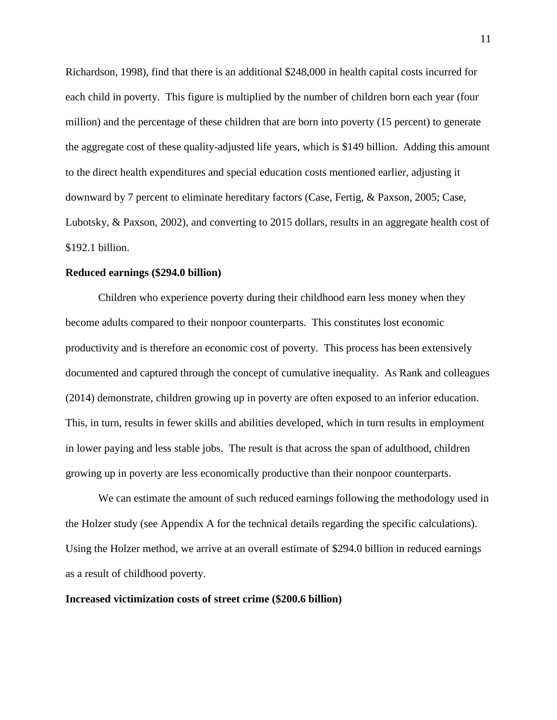Richardson, 1998), find that there is an additional \$248,000 in health capital costs incurred for each child in poverty. This figure is multiplied by the number of children born each year (four million) and the percentage of these children that are born into poverty (15 percent) to generate the aggregate cost of these quality-adjusted life years, which is \$149 billion. Adding this amount to the direct health expenditures and special education costs mentioned earlier, adjusting it downward by 7 percent to eliminate hereditary factors (Case, Fertig, & Paxson, 2005; Case, Lubotsky, & Paxson, 2002), and converting to 2015 dollars, results in an aggregate health cost of \$192.1 billion.

## **Reduced earnings (\$294.0 billion)**

Children who experience poverty during their childhood earn less money when they become adults compared to their nonpoor counterparts. This constitutes lost economic productivity and is therefore an economic cost of poverty. This process has been extensively documented and captured through the concept of cumulative inequality. As Rank and colleagues (2014) demonstrate, children growing up in poverty are often exposed to an inferior education. This, in turn, results in fewer skills and abilities developed, which in turn results in employment in lower paying and less stable jobs. The result is that across the span of adulthood, children growing up in poverty are less economically productive than their nonpoor counterparts.

We can estimate the amount of such reduced earnings following the methodology used in the Holzer study (see Appendix A for the technical details regarding the specific calculations). Using the Holzer method, we arrive at an overall estimate of \$294.0 billion in reduced earnings as a result of childhood poverty.

## **Increased victimization costs of street crime (\$200.6 billion)**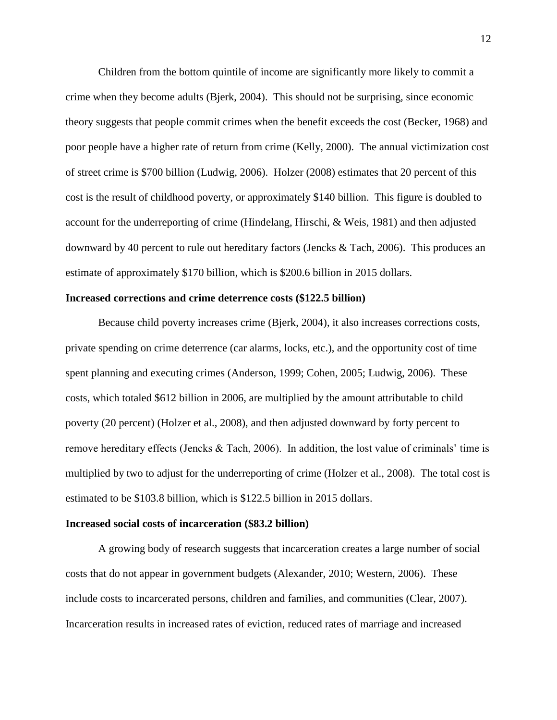Children from the bottom quintile of income are significantly more likely to commit a crime when they become adults (Bjerk, 2004). This should not be surprising, since economic theory suggests that people commit crimes when the benefit exceeds the cost (Becker, 1968) and poor people have a higher rate of return from crime (Kelly, 2000). The annual victimization cost of street crime is \$700 billion (Ludwig, 2006). Holzer (2008) estimates that 20 percent of this cost is the result of childhood poverty, or approximately \$140 billion. This figure is doubled to account for the underreporting of crime (Hindelang, Hirschi, & Weis, 1981) and then adjusted downward by 40 percent to rule out hereditary factors (Jencks & Tach, 2006). This produces an estimate of approximately \$170 billion, which is \$200.6 billion in 2015 dollars.

## **Increased corrections and crime deterrence costs (\$122.5 billion)**

Because child poverty increases crime (Bjerk, 2004), it also increases corrections costs, private spending on crime deterrence (car alarms, locks, etc.), and the opportunity cost of time spent planning and executing crimes (Anderson, 1999; Cohen, 2005; Ludwig, 2006). These costs, which totaled \$612 billion in 2006, are multiplied by the amount attributable to child poverty (20 percent) (Holzer et al., 2008), and then adjusted downward by forty percent to remove hereditary effects (Jencks & Tach, 2006). In addition, the lost value of criminals' time is multiplied by two to adjust for the underreporting of crime (Holzer et al., 2008). The total cost is estimated to be \$103.8 billion, which is \$122.5 billion in 2015 dollars.

## **Increased social costs of incarceration (\$83.2 billion)**

A growing body of research suggests that incarceration creates a large number of social costs that do not appear in government budgets (Alexander, 2010; Western, 2006). These include costs to incarcerated persons, children and families, and communities (Clear, 2007). Incarceration results in increased rates of eviction, reduced rates of marriage and increased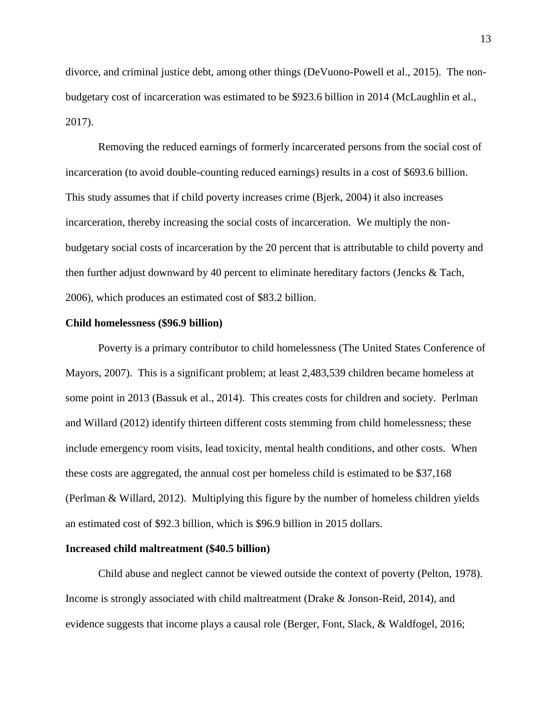divorce, and criminal justice debt, among other things (DeVuono-Powell et al., 2015). The nonbudgetary cost of incarceration was estimated to be \$923.6 billion in 2014 (McLaughlin et al., 2017).

Removing the reduced earnings of formerly incarcerated persons from the social cost of incarceration (to avoid double-counting reduced earnings) results in a cost of \$693.6 billion. This study assumes that if child poverty increases crime (Bjerk, 2004) it also increases incarceration, thereby increasing the social costs of incarceration. We multiply the nonbudgetary social costs of incarceration by the 20 percent that is attributable to child poverty and then further adjust downward by 40 percent to eliminate hereditary factors (Jencks & Tach, 2006), which produces an estimated cost of \$83.2 billion.

#### **Child homelessness (\$96.9 billion)**

Poverty is a primary contributor to child homelessness (The United States Conference of Mayors, 2007). This is a significant problem; at least 2,483,539 children became homeless at some point in 2013 (Bassuk et al., 2014). This creates costs for children and society. Perlman and Willard (2012) identify thirteen different costs stemming from child homelessness; these include emergency room visits, lead toxicity, mental health conditions, and other costs. When these costs are aggregated, the annual cost per homeless child is estimated to be \$37,168 (Perlman & Willard, 2012). Multiplying this figure by the number of homeless children yields an estimated cost of \$92.3 billion, which is \$96.9 billion in 2015 dollars.

## **Increased child maltreatment (\$40.5 billion)**

Child abuse and neglect cannot be viewed outside the context of poverty (Pelton, 1978). Income is strongly associated with child maltreatment (Drake & Jonson-Reid, 2014), and evidence suggests that income plays a causal role (Berger, Font, Slack, & Waldfogel, 2016;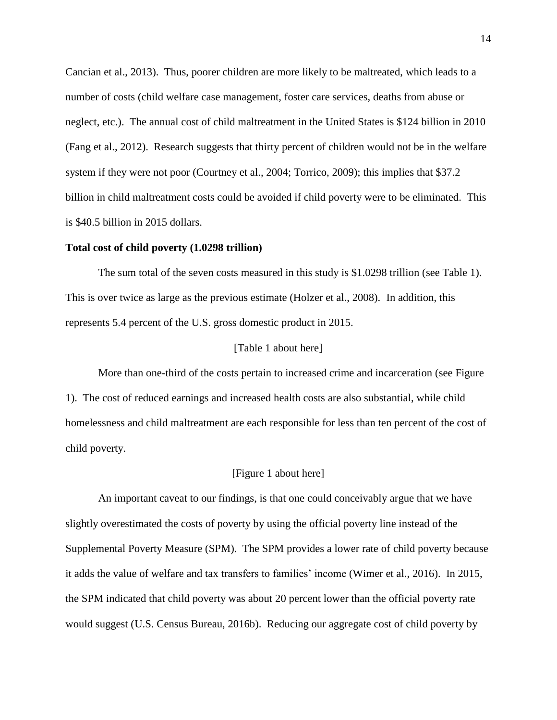Cancian et al., 2013). Thus, poorer children are more likely to be maltreated, which leads to a number of costs (child welfare case management, foster care services, deaths from abuse or neglect, etc.). The annual cost of child maltreatment in the United States is \$124 billion in 2010 (Fang et al., 2012). Research suggests that thirty percent of children would not be in the welfare system if they were not poor (Courtney et al., 2004; Torrico, 2009); this implies that \$37.2 billion in child maltreatment costs could be avoided if child poverty were to be eliminated. This is \$40.5 billion in 2015 dollars.

#### **Total cost of child poverty (1.0298 trillion)**

The sum total of the seven costs measured in this study is \$1.0298 trillion (see Table 1). This is over twice as large as the previous estimate (Holzer et al., 2008). In addition, this represents 5.4 percent of the U.S. gross domestic product in 2015.

#### [Table 1 about here]

More than one-third of the costs pertain to increased crime and incarceration (see Figure 1). The cost of reduced earnings and increased health costs are also substantial, while child homelessness and child maltreatment are each responsible for less than ten percent of the cost of child poverty.

#### [Figure 1 about here]

An important caveat to our findings, is that one could conceivably argue that we have slightly overestimated the costs of poverty by using the official poverty line instead of the Supplemental Poverty Measure (SPM). The SPM provides a lower rate of child poverty because it adds the value of welfare and tax transfers to families' income (Wimer et al., 2016). In 2015, the SPM indicated that child poverty was about 20 percent lower than the official poverty rate would suggest (U.S. Census Bureau, 2016b). Reducing our aggregate cost of child poverty by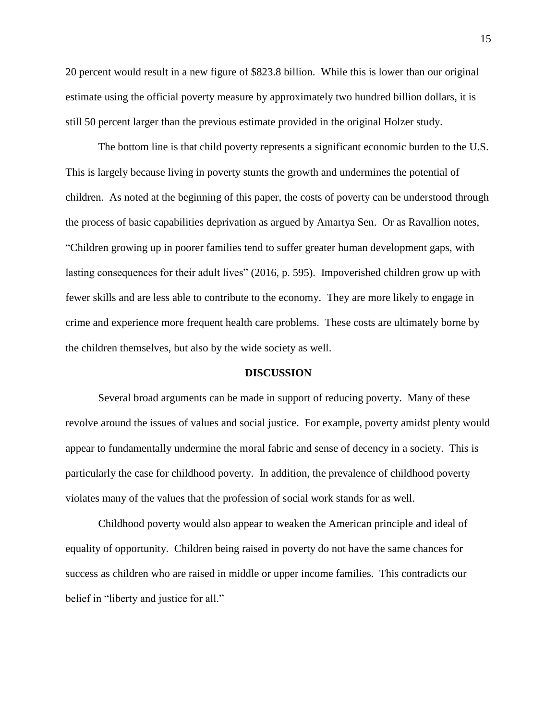20 percent would result in a new figure of \$823.8 billion. While this is lower than our original estimate using the official poverty measure by approximately two hundred billion dollars, it is still 50 percent larger than the previous estimate provided in the original Holzer study.

The bottom line is that child poverty represents a significant economic burden to the U.S. This is largely because living in poverty stunts the growth and undermines the potential of children. As noted at the beginning of this paper, the costs of poverty can be understood through the process of basic capabilities deprivation as argued by Amartya Sen. Or as Ravallion notes, "Children growing up in poorer families tend to suffer greater human development gaps, with lasting consequences for their adult lives" (2016, p. 595). Impoverished children grow up with fewer skills and are less able to contribute to the economy. They are more likely to engage in crime and experience more frequent health care problems. These costs are ultimately borne by the children themselves, but also by the wide society as well.

## **DISCUSSION**

Several broad arguments can be made in support of reducing poverty. Many of these revolve around the issues of values and social justice. For example, poverty amidst plenty would appear to fundamentally undermine the moral fabric and sense of decency in a society. This is particularly the case for childhood poverty. In addition, the prevalence of childhood poverty violates many of the values that the profession of social work stands for as well.

Childhood poverty would also appear to weaken the American principle and ideal of equality of opportunity. Children being raised in poverty do not have the same chances for success as children who are raised in middle or upper income families. This contradicts our belief in "liberty and justice for all."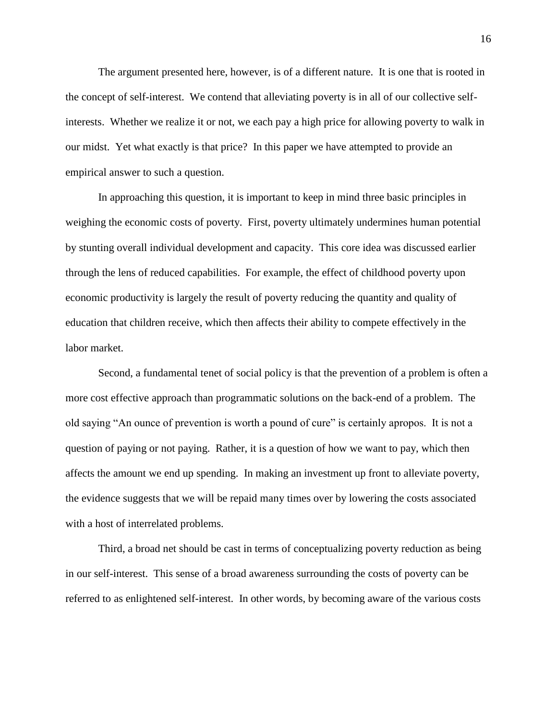The argument presented here, however, is of a different nature. It is one that is rooted in the concept of self-interest. We contend that alleviating poverty is in all of our collective selfinterests. Whether we realize it or not, we each pay a high price for allowing poverty to walk in our midst. Yet what exactly is that price? In this paper we have attempted to provide an empirical answer to such a question.

In approaching this question, it is important to keep in mind three basic principles in weighing the economic costs of poverty. First, poverty ultimately undermines human potential by stunting overall individual development and capacity. This core idea was discussed earlier through the lens of reduced capabilities. For example, the effect of childhood poverty upon economic productivity is largely the result of poverty reducing the quantity and quality of education that children receive, which then affects their ability to compete effectively in the labor market.

Second, a fundamental tenet of social policy is that the prevention of a problem is often a more cost effective approach than programmatic solutions on the back-end of a problem. The old saying "An ounce of prevention is worth a pound of cure" is certainly apropos. It is not a question of paying or not paying. Rather, it is a question of how we want to pay, which then affects the amount we end up spending. In making an investment up front to alleviate poverty, the evidence suggests that we will be repaid many times over by lowering the costs associated with a host of interrelated problems.

Third, a broad net should be cast in terms of conceptualizing poverty reduction as being in our self-interest. This sense of a broad awareness surrounding the costs of poverty can be referred to as enlightened self-interest. In other words, by becoming aware of the various costs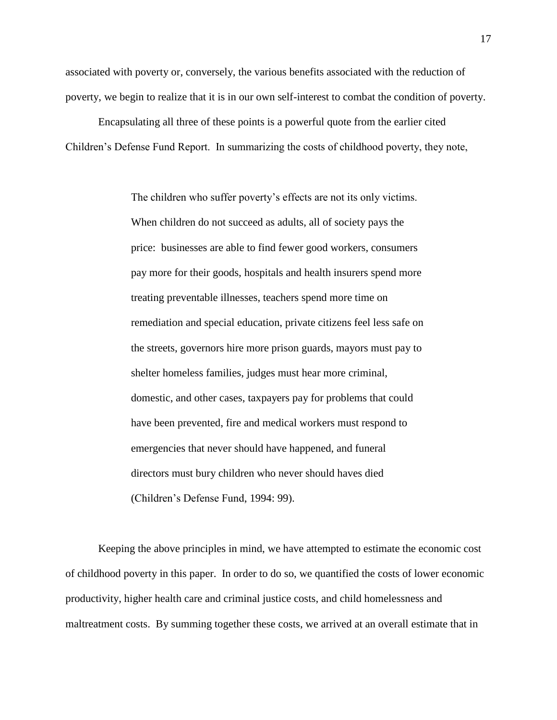associated with poverty or, conversely, the various benefits associated with the reduction of poverty, we begin to realize that it is in our own self-interest to combat the condition of poverty.

Encapsulating all three of these points is a powerful quote from the earlier cited Children's Defense Fund Report. In summarizing the costs of childhood poverty, they note,

> The children who suffer poverty's effects are not its only victims. When children do not succeed as adults, all of society pays the price: businesses are able to find fewer good workers, consumers pay more for their goods, hospitals and health insurers spend more treating preventable illnesses, teachers spend more time on remediation and special education, private citizens feel less safe on the streets, governors hire more prison guards, mayors must pay to shelter homeless families, judges must hear more criminal, domestic, and other cases, taxpayers pay for problems that could have been prevented, fire and medical workers must respond to emergencies that never should have happened, and funeral directors must bury children who never should haves died (Children's Defense Fund, 1994: 99).

Keeping the above principles in mind, we have attempted to estimate the economic cost of childhood poverty in this paper. In order to do so, we quantified the costs of lower economic productivity, higher health care and criminal justice costs, and child homelessness and maltreatment costs. By summing together these costs, we arrived at an overall estimate that in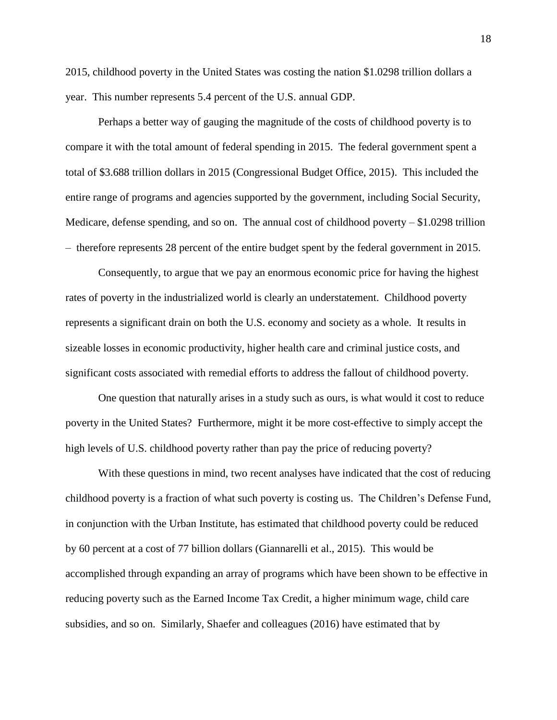2015, childhood poverty in the United States was costing the nation \$1.0298 trillion dollars a year. This number represents 5.4 percent of the U.S. annual GDP.

Perhaps a better way of gauging the magnitude of the costs of childhood poverty is to compare it with the total amount of federal spending in 2015. The federal government spent a total of \$3.688 trillion dollars in 2015 (Congressional Budget Office, 2015). This included the entire range of programs and agencies supported by the government, including Social Security, Medicare, defense spending, and so on. The annual cost of childhood poverty  $- $1.0298$  trillion – therefore represents 28 percent of the entire budget spent by the federal government in 2015.

Consequently, to argue that we pay an enormous economic price for having the highest rates of poverty in the industrialized world is clearly an understatement. Childhood poverty represents a significant drain on both the U.S. economy and society as a whole. It results in sizeable losses in economic productivity, higher health care and criminal justice costs, and significant costs associated with remedial efforts to address the fallout of childhood poverty.

One question that naturally arises in a study such as ours, is what would it cost to reduce poverty in the United States? Furthermore, might it be more cost-effective to simply accept the high levels of U.S. childhood poverty rather than pay the price of reducing poverty?

With these questions in mind, two recent analyses have indicated that the cost of reducing childhood poverty is a fraction of what such poverty is costing us. The Children's Defense Fund, in conjunction with the Urban Institute, has estimated that childhood poverty could be reduced by 60 percent at a cost of 77 billion dollars (Giannarelli et al., 2015). This would be accomplished through expanding an array of programs which have been shown to be effective in reducing poverty such as the Earned Income Tax Credit, a higher minimum wage, child care subsidies, and so on. Similarly, Shaefer and colleagues (2016) have estimated that by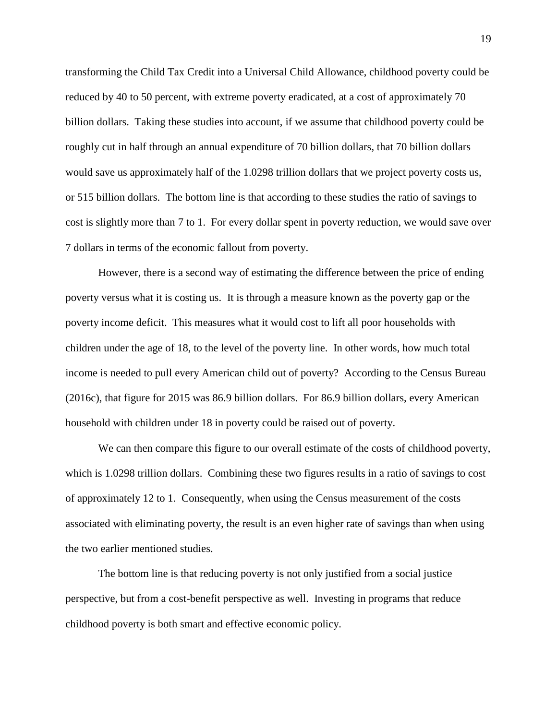transforming the Child Tax Credit into a Universal Child Allowance, childhood poverty could be reduced by 40 to 50 percent, with extreme poverty eradicated, at a cost of approximately 70 billion dollars. Taking these studies into account, if we assume that childhood poverty could be roughly cut in half through an annual expenditure of 70 billion dollars, that 70 billion dollars would save us approximately half of the 1.0298 trillion dollars that we project poverty costs us, or 515 billion dollars. The bottom line is that according to these studies the ratio of savings to cost is slightly more than 7 to 1. For every dollar spent in poverty reduction, we would save over 7 dollars in terms of the economic fallout from poverty.

However, there is a second way of estimating the difference between the price of ending poverty versus what it is costing us. It is through a measure known as the poverty gap or the poverty income deficit. This measures what it would cost to lift all poor households with children under the age of 18, to the level of the poverty line. In other words, how much total income is needed to pull every American child out of poverty? According to the Census Bureau (2016c), that figure for 2015 was 86.9 billion dollars. For 86.9 billion dollars, every American household with children under 18 in poverty could be raised out of poverty.

We can then compare this figure to our overall estimate of the costs of childhood poverty, which is 1.0298 trillion dollars. Combining these two figures results in a ratio of savings to cost of approximately 12 to 1. Consequently, when using the Census measurement of the costs associated with eliminating poverty, the result is an even higher rate of savings than when using the two earlier mentioned studies.

The bottom line is that reducing poverty is not only justified from a social justice perspective, but from a cost-benefit perspective as well. Investing in programs that reduce childhood poverty is both smart and effective economic policy.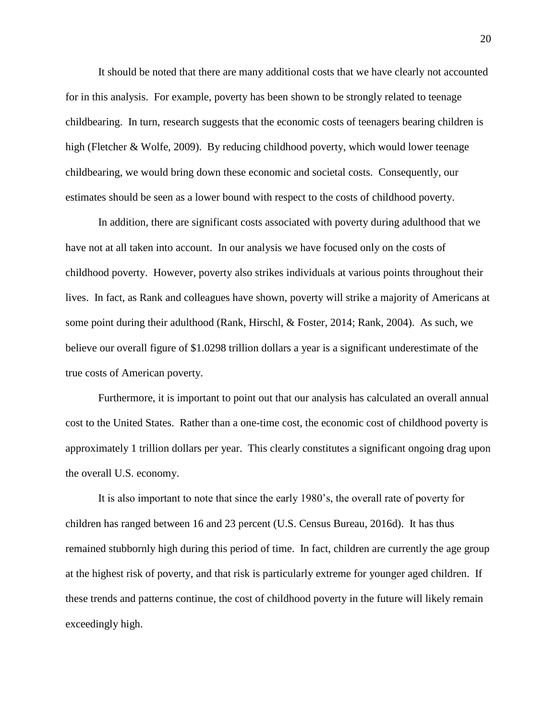It should be noted that there are many additional costs that we have clearly not accounted for in this analysis. For example, poverty has been shown to be strongly related to teenage childbearing. In turn, research suggests that the economic costs of teenagers bearing children is high (Fletcher & Wolfe, 2009). By reducing childhood poverty, which would lower teenage childbearing, we would bring down these economic and societal costs. Consequently, our estimates should be seen as a lower bound with respect to the costs of childhood poverty.

In addition, there are significant costs associated with poverty during adulthood that we have not at all taken into account. In our analysis we have focused only on the costs of childhood poverty. However, poverty also strikes individuals at various points throughout their lives. In fact, as Rank and colleagues have shown, poverty will strike a majority of Americans at some point during their adulthood (Rank, Hirschl, & Foster, 2014; Rank, 2004). As such, we believe our overall figure of \$1.0298 trillion dollars a year is a significant underestimate of the true costs of American poverty.

Furthermore, it is important to point out that our analysis has calculated an overall annual cost to the United States. Rather than a one-time cost, the economic cost of childhood poverty is approximately 1 trillion dollars per year. This clearly constitutes a significant ongoing drag upon the overall U.S. economy.

It is also important to note that since the early 1980's, the overall rate of poverty for children has ranged between 16 and 23 percent (U.S. Census Bureau, 2016d). It has thus remained stubbornly high during this period of time. In fact, children are currently the age group at the highest risk of poverty, and that risk is particularly extreme for younger aged children. If these trends and patterns continue, the cost of childhood poverty in the future will likely remain exceedingly high.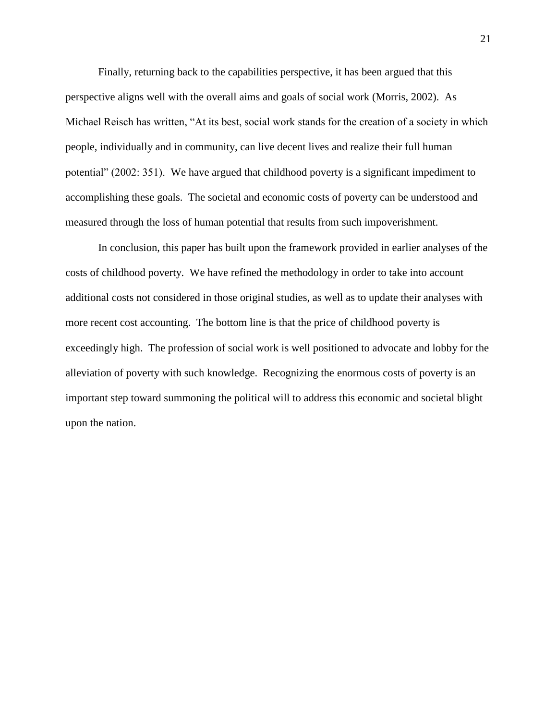Finally, returning back to the capabilities perspective, it has been argued that this perspective aligns well with the overall aims and goals of social work (Morris, 2002). As Michael Reisch has written, "At its best, social work stands for the creation of a society in which people, individually and in community, can live decent lives and realize their full human potential" (2002: 351). We have argued that childhood poverty is a significant impediment to accomplishing these goals. The societal and economic costs of poverty can be understood and measured through the loss of human potential that results from such impoverishment.

In conclusion, this paper has built upon the framework provided in earlier analyses of the costs of childhood poverty. We have refined the methodology in order to take into account additional costs not considered in those original studies, as well as to update their analyses with more recent cost accounting. The bottom line is that the price of childhood poverty is exceedingly high. The profession of social work is well positioned to advocate and lobby for the alleviation of poverty with such knowledge. Recognizing the enormous costs of poverty is an important step toward summoning the political will to address this economic and societal blight upon the nation.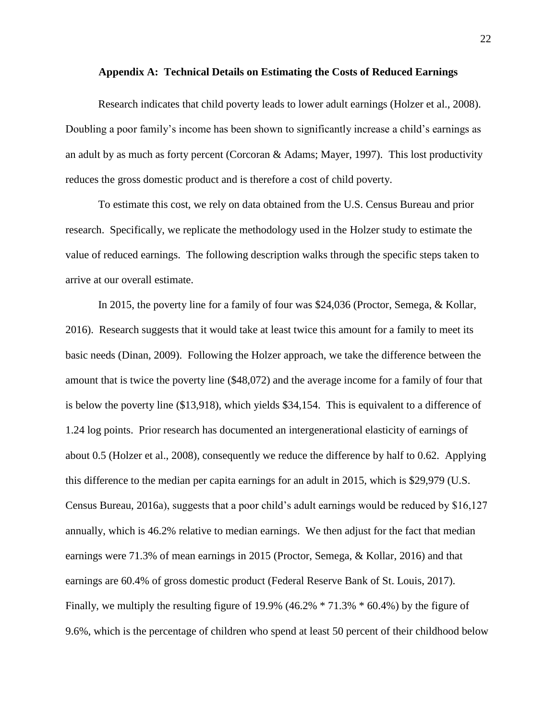#### **Appendix A: Technical Details on Estimating the Costs of Reduced Earnings**

Research indicates that child poverty leads to lower adult earnings (Holzer et al., 2008). Doubling a poor family's income has been shown to significantly increase a child's earnings as an adult by as much as forty percent (Corcoran & Adams; Mayer, 1997). This lost productivity reduces the gross domestic product and is therefore a cost of child poverty.

To estimate this cost, we rely on data obtained from the U.S. Census Bureau and prior research. Specifically, we replicate the methodology used in the Holzer study to estimate the value of reduced earnings. The following description walks through the specific steps taken to arrive at our overall estimate.

In 2015, the poverty line for a family of four was \$24,036 (Proctor, Semega, & Kollar, 2016). Research suggests that it would take at least twice this amount for a family to meet its basic needs (Dinan, 2009). Following the Holzer approach, we take the difference between the amount that is twice the poverty line (\$48,072) and the average income for a family of four that is below the poverty line (\$13,918), which yields \$34,154. This is equivalent to a difference of 1.24 log points. Prior research has documented an intergenerational elasticity of earnings of about 0.5 (Holzer et al., 2008), consequently we reduce the difference by half to 0.62. Applying this difference to the median per capita earnings for an adult in 2015, which is \$29,979 (U.S. Census Bureau, 2016a), suggests that a poor child's adult earnings would be reduced by \$16,127 annually, which is 46.2% relative to median earnings. We then adjust for the fact that median earnings were 71.3% of mean earnings in 2015 (Proctor, Semega, & Kollar, 2016) and that earnings are 60.4% of gross domestic product (Federal Reserve Bank of St. Louis, 2017). Finally, we multiply the resulting figure of 19.9% (46.2% \* 71.3% \* 60.4%) by the figure of 9.6%, which is the percentage of children who spend at least 50 percent of their childhood below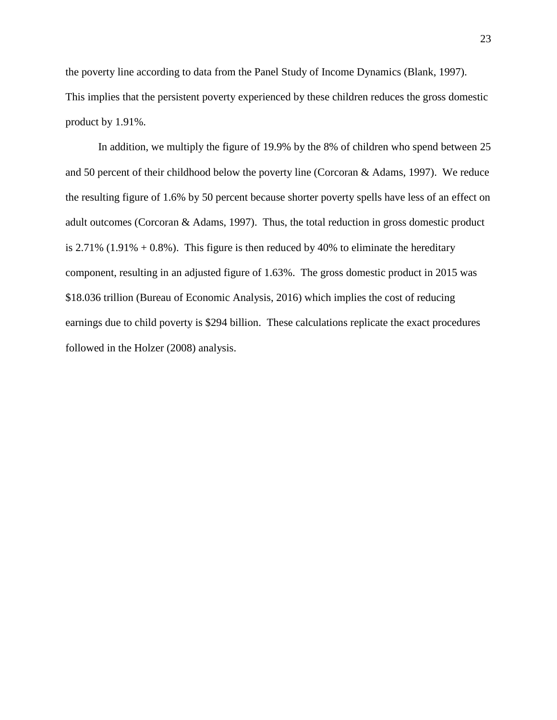the poverty line according to data from the Panel Study of Income Dynamics (Blank, 1997). This implies that the persistent poverty experienced by these children reduces the gross domestic product by 1.91%.

In addition, we multiply the figure of 19.9% by the 8% of children who spend between 25 and 50 percent of their childhood below the poverty line (Corcoran & Adams, 1997). We reduce the resulting figure of 1.6% by 50 percent because shorter poverty spells have less of an effect on adult outcomes (Corcoran & Adams, 1997). Thus, the total reduction in gross domestic product is  $2.71\%$  (1.91% + 0.8%). This figure is then reduced by 40% to eliminate the hereditary component, resulting in an adjusted figure of 1.63%. The gross domestic product in 2015 was \$18.036 trillion (Bureau of Economic Analysis, 2016) which implies the cost of reducing earnings due to child poverty is \$294 billion. These calculations replicate the exact procedures followed in the Holzer (2008) analysis.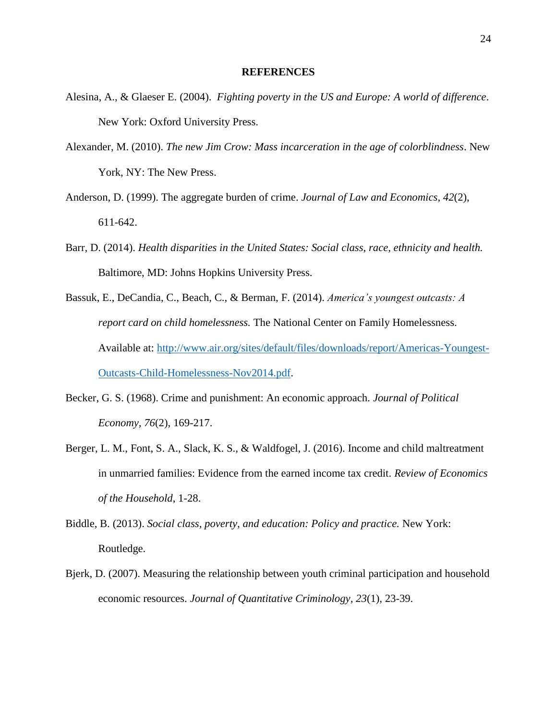#### **REFERENCES**

- Alesina, A., & Glaeser E. (2004). *Fighting poverty in the US and Europe: A world of difference*. New York: Oxford University Press.
- Alexander, M. (2010). *The new Jim Crow: Mass incarceration in the age of colorblindness*. New York, NY: The New Press.
- Anderson, D. (1999). The aggregate burden of crime. *Journal of Law and Economics*, *42*(2), 611-642.
- Barr, D. (2014). *Health disparities in the United States: Social class, race, ethnicity and health.* Baltimore, MD: Johns Hopkins University Press.
- Bassuk, E., DeCandia, C., Beach, C., & Berman, F. (2014). *America's youngest outcasts: A report card on child homelessness.* The National Center on Family Homelessness. Available at: [http://www.air.org/sites/default/files/downloads/report/Americas-Youngest-](http://www.air.org/sites/default/files/downloads/report/Americas-Youngest-Outcasts-Child-Homelessness-Nov2014.pdf)[Outcasts-Child-Homelessness-Nov2014.pdf.](http://www.air.org/sites/default/files/downloads/report/Americas-Youngest-Outcasts-Child-Homelessness-Nov2014.pdf)
- Becker, G. S. (1968). Crime and punishment: An economic approach. *Journal of Political Economy, 76*(2), 169-217.
- Berger, L. M., Font, S. A., Slack, K. S., & Waldfogel, J. (2016). Income and child maltreatment in unmarried families: Evidence from the earned income tax credit. *Review of Economics of the Household*, 1-28.
- Biddle, B. (2013). *Social class, poverty, and education: Policy and practice.* New York: Routledge.
- Bjerk, D. (2007). Measuring the relationship between youth criminal participation and household economic resources. *Journal of Quantitative Criminology, 23*(1), 23-39.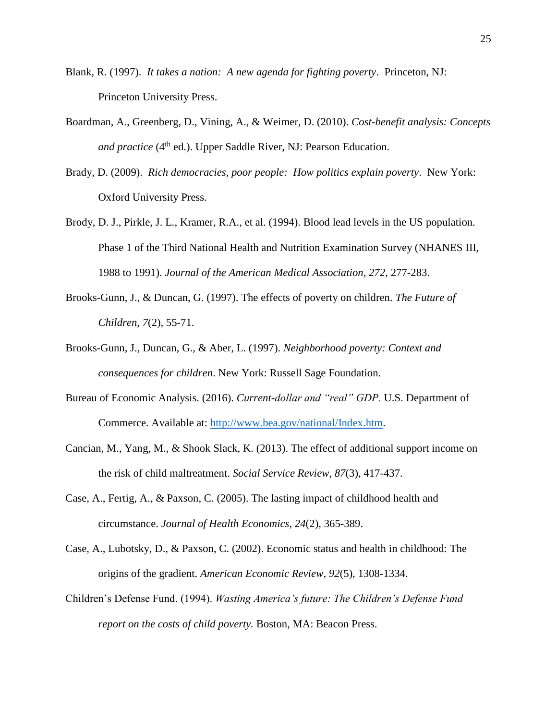- Blank, R. (1997). *It takes a nation: A new agenda for fighting poverty*. Princeton, NJ: Princeton University Press.
- Boardman, A., Greenberg, D., Vining, A., & Weimer, D. (2010). *Cost-benefit analysis: Concepts and practice* (4<sup>th</sup> ed.). Upper Saddle River, NJ: Pearson Education.
- Brady, D. (2009). *Rich democracies, poor people: How politics explain poverty*. New York: Oxford University Press.
- Brody, D. J., Pirkle, J. L., Kramer, R.A., et al. (1994). Blood lead levels in the US population. Phase 1 of the Third National Health and Nutrition Examination Survey (NHANES III, 1988 to 1991). *Journal of the American Medical Association, 272*, 277-283.
- Brooks-Gunn, J., & Duncan, G. (1997). The effects of poverty on children. *The Future of Children, 7*(2), 55-71.
- Brooks-Gunn, J., Duncan, G., & Aber, L. (1997). *Neighborhood poverty: Context and consequences for children*. New York: Russell Sage Foundation.
- Bureau of Economic Analysis. (2016). *Current-dollar and "real" GDP.* U.S. Department of Commerce. Available at: [http://www.bea.gov/national/Index.htm.](http://www.bea.gov/national/Index.htm)
- Cancian, M., Yang, M., & Shook Slack, K. (2013). The effect of additional support income on the risk of child maltreatment. *Social Service Review, 87*(3), 417-437.
- Case, A., Fertig, A., & Paxson, C. (2005). The lasting impact of childhood health and circumstance. *Journal of Health Economics, 24*(2), 365-389.
- Case, A., Lubotsky, D., & Paxson, C. (2002). Economic status and health in childhood: The origins of the gradient. *American Economic Review, 92*(5), 1308-1334.
- Children's Defense Fund. (1994). *Wasting America's future: The Children's Defense Fund report on the costs of child poverty.* Boston, MA: Beacon Press.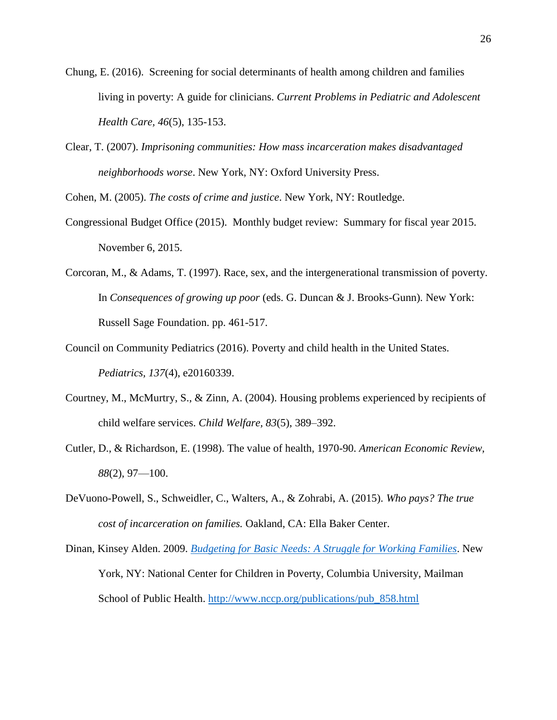- Chung, E. (2016). Screening for social determinants of health among children and families living in poverty: A guide for clinicians. *Current Problems in Pediatric and Adolescent Health Care, 46*(5), 135-153.
- Clear, T. (2007). *Imprisoning communities: How mass incarceration makes disadvantaged neighborhoods worse*. New York, NY: Oxford University Press.

Cohen, M. (2005). *The costs of crime and justice*. New York, NY: Routledge.

- Congressional Budget Office (2015). Monthly budget review: Summary for fiscal year 2015. November 6, 2015.
- Corcoran, M., & Adams, T. (1997). Race, sex, and the intergenerational transmission of poverty. In *Consequences of growing up poor* (eds. G. Duncan & J. Brooks-Gunn). New York: Russell Sage Foundation. pp. 461-517.
- Council on Community Pediatrics (2016). Poverty and child health in the United States. *Pediatrics, 137*(4), e20160339.
- Courtney, M., McMurtry, S., & Zinn, A. (2004). Housing problems experienced by recipients of child welfare services. *Child Welfare, 83*(5), 389–392.
- Cutler, D., & Richardson, E. (1998). The value of health, 1970-90. *American Economic Review, 88*(2), 97—100.
- DeVuono-Powell, S., Schweidler, C., Walters, A., & Zohrabi, A. (2015). *Who pays? The true cost of incarceration on families.* Oakland, CA: Ella Baker Center.

Dinan, Kinsey Alden. 2009. *[Budgeting for Basic Needs: A Struggle for Working Families](http://www.nccp.org/publications/pub_858.html)*. New York, NY: National Center for Children in Poverty, Columbia University, Mailman School of Public Health. [http://www.nccp.org/publications/pub\\_858.html](http://www.nccp.org/publications/pub_858.html)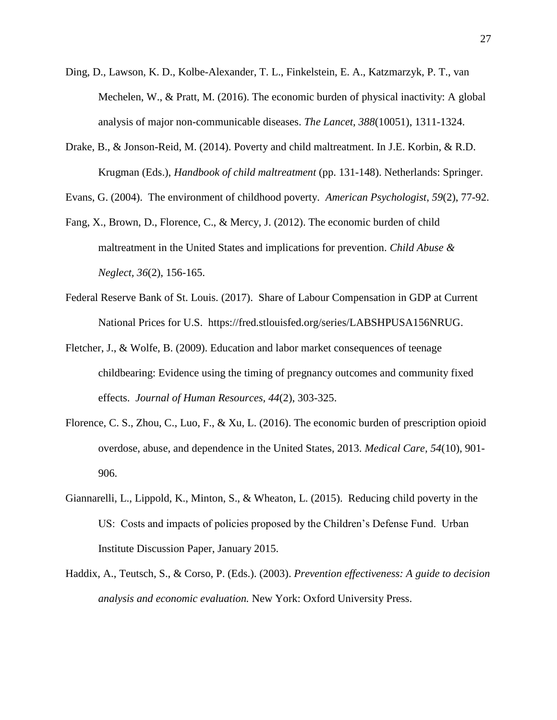- Ding, D., Lawson, K. D., Kolbe-Alexander, T. L., Finkelstein, E. A., Katzmarzyk, P. T., van Mechelen, W., & Pratt, M. (2016). The economic burden of physical inactivity: A global analysis of major non-communicable diseases. *The Lancet, 388*(10051), 1311-1324.
- Drake, B., & Jonson-Reid, M. (2014). Poverty and child maltreatment. In J.E. Korbin, & R.D. Krugman (Eds.), *Handbook of child maltreatment* (pp. 131-148). Netherlands: Springer.

Evans, G. (2004). The environment of childhood poverty. *American Psychologist*, *59*(2), 77-92.

- Fang, X., Brown, D., Florence, C., & Mercy, J. (2012). The economic burden of child maltreatment in the United States and implications for prevention. *Child Abuse & Neglect, 36*(2), 156-165.
- Federal Reserve Bank of St. Louis. (2017). Share of Labour Compensation in GDP at Current National Prices for U.S. https://fred.stlouisfed.org/series/LABSHPUSA156NRUG.
- Fletcher, J., & Wolfe, B. (2009). Education and labor market consequences of teenage childbearing: Evidence using the timing of pregnancy outcomes and community fixed effects. *Journal of Human Resources, 44*(2), 303-325.
- Florence, C. S., Zhou, C., Luo, F., & Xu, L. (2016). The economic burden of prescription opioid overdose, abuse, and dependence in the United States, 2013. *Medical Care, 54*(10), 901- 906.
- Giannarelli, L., Lippold, K., Minton, S., & Wheaton, L. (2015). Reducing child poverty in the US: Costs and impacts of policies proposed by the Children's Defense Fund. Urban Institute Discussion Paper, January 2015.
- Haddix, A., Teutsch, S., & Corso, P. (Eds.). (2003). *Prevention effectiveness: A guide to decision analysis and economic evaluation.* New York: Oxford University Press.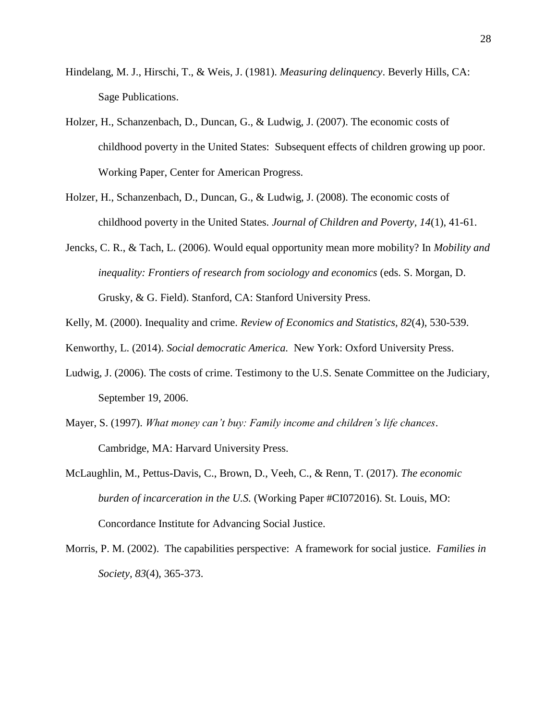- Hindelang, M. J., Hirschi, T., & Weis, J. (1981). *Measuring delinquency*. Beverly Hills, CA: Sage Publications.
- Holzer, H., Schanzenbach, D., Duncan, G., & Ludwig, J. (2007). The economic costs of childhood poverty in the United States: Subsequent effects of children growing up poor. Working Paper, Center for American Progress.
- Holzer, H., Schanzenbach, D., Duncan, G., & Ludwig, J. (2008). The economic costs of childhood poverty in the United States. *Journal of Children and Poverty, 14*(1), 41-61.
- Jencks, C. R., & Tach, L. (2006). Would equal opportunity mean more mobility? In *Mobility and inequality: Frontiers of research from sociology and economics* (eds. S. Morgan, D. Grusky, & G. Field). Stanford, CA: Stanford University Press.
- Kelly, M. (2000). Inequality and crime. *Review of Economics and Statistics, 82*(4), 530-539.
- Kenworthy, L. (2014). *Social democratic America.* New York: Oxford University Press.
- Ludwig, J. (2006). The costs of crime. Testimony to the U.S. Senate Committee on the Judiciary, September 19, 2006.
- Mayer, S. (1997). *What money can't buy: Family income and children's life chances*. Cambridge, MA: Harvard University Press.
- McLaughlin, M., Pettus-Davis, C., Brown, D., Veeh, C., & Renn, T. (2017). *The economic burden of incarceration in the U.S.* (Working Paper #CI072016). St. Louis, MO: Concordance Institute for Advancing Social Justice.
- Morris, P. M. (2002). The capabilities perspective: A framework for social justice. *Families in Society, 83*(4), 365-373.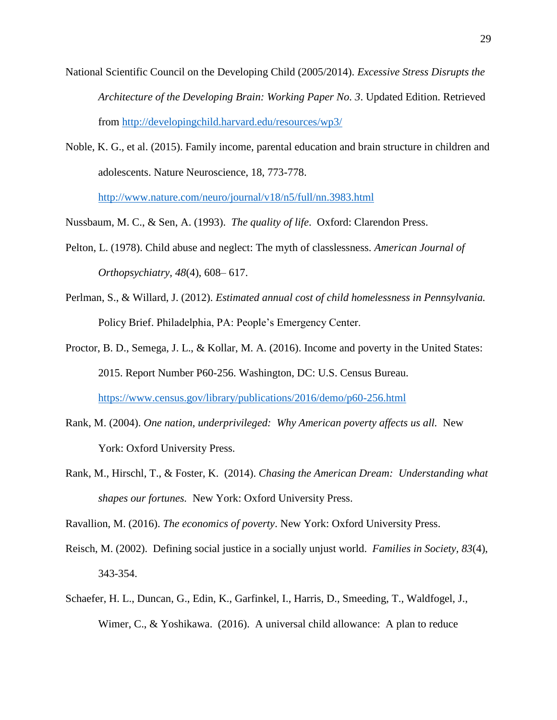- National Scientific Council on the Developing Child (2005/2014). *Excessive Stress Disrupts the Architecture of the Developing Brain: Working Paper No. 3*. Updated Edition. Retrieved from<http://developingchild.harvard.edu/resources/wp3/>
- Noble, K. G., et al. (2015). Family income, parental education and brain structure in children and adolescents. Nature Neuroscience, 18, 773-778.

<http://www.nature.com/neuro/journal/v18/n5/full/nn.3983.html>

Nussbaum, M. C., & Sen, A. (1993). *The quality of life*. Oxford: Clarendon Press.

- Pelton, L. (1978). Child abuse and neglect: The myth of classlessness. *American Journal of Orthopsychiatry, 48*(4), 608– 617.
- Perlman, S., & Willard, J. (2012). *Estimated annual cost of child homelessness in Pennsylvania.* Policy Brief. Philadelphia, PA: People's Emergency Center.
- Proctor, B. D., Semega, J. L., & Kollar, M. A. (2016). Income and poverty in the United States: 2015. Report Number P60-256. Washington, DC: U.S. Census Bureau. <https://www.census.gov/library/publications/2016/demo/p60-256.html>
- Rank, M. (2004). *One nation, underprivileged: Why American poverty affects us all.* New York: Oxford University Press.
- Rank, M., Hirschl, T., & Foster, K. (2014). *Chasing the American Dream: Understanding what shapes our fortunes.* New York: Oxford University Press.

Ravallion, M. (2016). *The economics of poverty*. New York: Oxford University Press.

- Reisch, M. (2002). Defining social justice in a socially unjust world. *Families in Society, 83*(4), 343-354.
- Schaefer, H. L., Duncan, G., Edin, K., Garfinkel, I., Harris, D., Smeeding, T., Waldfogel, J., Wimer, C., & Yoshikawa. (2016). A universal child allowance: A plan to reduce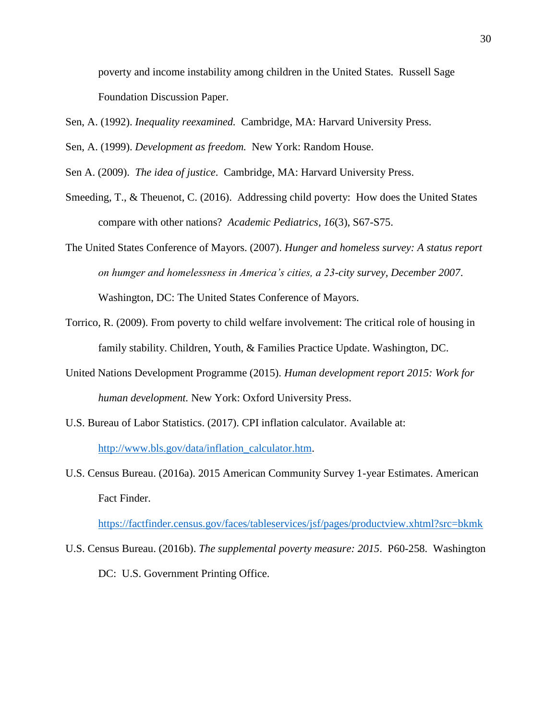poverty and income instability among children in the United States. Russell Sage Foundation Discussion Paper.

Sen, A. (1992). *Inequality reexamined.* Cambridge, MA: Harvard University Press.

Sen, A. (1999). *Development as freedom.* New York: Random House.

Sen A. (2009). *The idea of justice*. Cambridge, MA: Harvard University Press.

Smeeding, T., & Theuenot, C. (2016). Addressing child poverty: How does the United States compare with other nations? *Academic Pediatrics, 16*(3), S67-S75.

The United States Conference of Mayors. (2007). *Hunger and homeless survey: A status report on humger and homelessness in America's cities, a 23-city survey, December 2007*.

Washington, DC: The United States Conference of Mayors.

- Torrico, R. (2009). From poverty to child welfare involvement: The critical role of housing in family stability. Children, Youth, & Families Practice Update. Washington, DC.
- United Nations Development Programme (2015). *Human development report 2015: Work for human development.* New York: Oxford University Press.
- U.S. Bureau of Labor Statistics. (2017). CPI inflation calculator. Available at: [http://www.bls.gov/data/inflation\\_calculator.htm.](http://www.bls.gov/data/inflation_calculator.htm)
- U.S. Census Bureau. (2016a). 2015 American Community Survey 1-year Estimates. American Fact Finder.

<https://factfinder.census.gov/faces/tableservices/jsf/pages/productview.xhtml?src=bkmk>

U.S. Census Bureau. (2016b). *The supplemental poverty measure: 2015*. P60-258. Washington DC: U.S. Government Printing Office.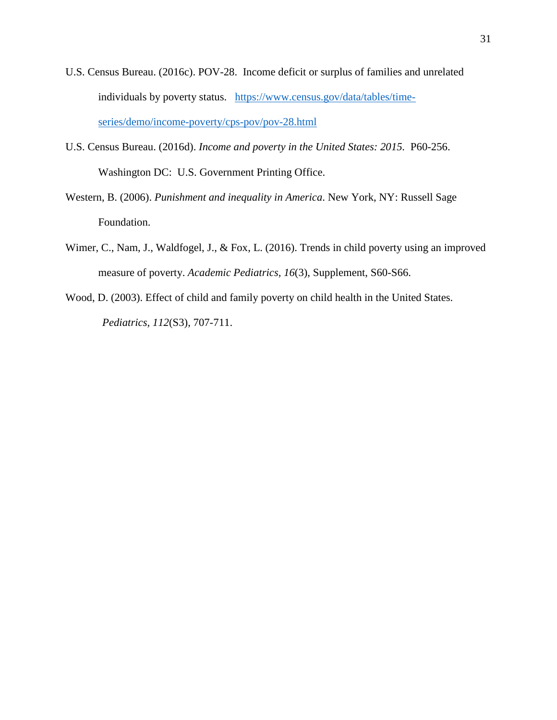- U.S. Census Bureau. (2016c). POV-28. Income deficit or surplus of families and unrelated individuals by poverty status. [https://www.census.gov/data/tables/time](https://www.census.gov/data/tables/time-series/demo/income-poverty/cps-pov/pov-28.html)[series/demo/income-poverty/cps-pov/pov-28.html](https://www.census.gov/data/tables/time-series/demo/income-poverty/cps-pov/pov-28.html)
- U.S. Census Bureau. (2016d). *Income and poverty in the United States: 2015.* P60-256. Washington DC: U.S. Government Printing Office.
- Western, B. (2006). *Punishment and inequality in America*. New York, NY: Russell Sage Foundation.
- Wimer, C., Nam, J., Waldfogel, J., & Fox, L. (2016). Trends in child poverty using an improved measure of poverty. *Academic Pediatrics, 16*(3), Supplement, S60-S66.
- Wood, D. (2003). Effect of child and family poverty on child health in the United States. *Pediatrics, 112*(S3), 707-711.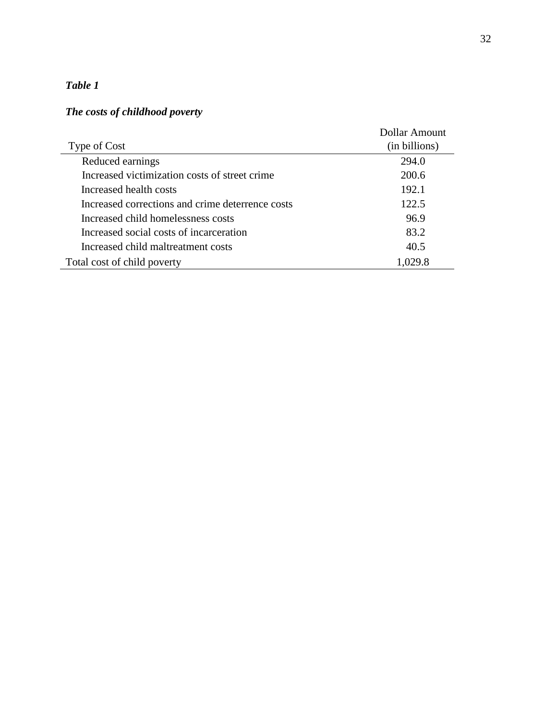# *Table 1*

## *The costs of childhood poverty*

|                                                  | Dollar Amount |
|--------------------------------------------------|---------------|
| Type of Cost                                     | (in billions) |
| Reduced earnings                                 | 294.0         |
| Increased victimization costs of street crime    | 200.6         |
| Increased health costs                           | 192.1         |
| Increased corrections and crime deterrence costs | 122.5         |
| Increased child homelessness costs               | 96.9          |
| Increased social costs of incarceration          | 83.2          |
| Increased child maltreatment costs               | 40.5          |
| Total cost of child poverty                      | 1,029.8       |